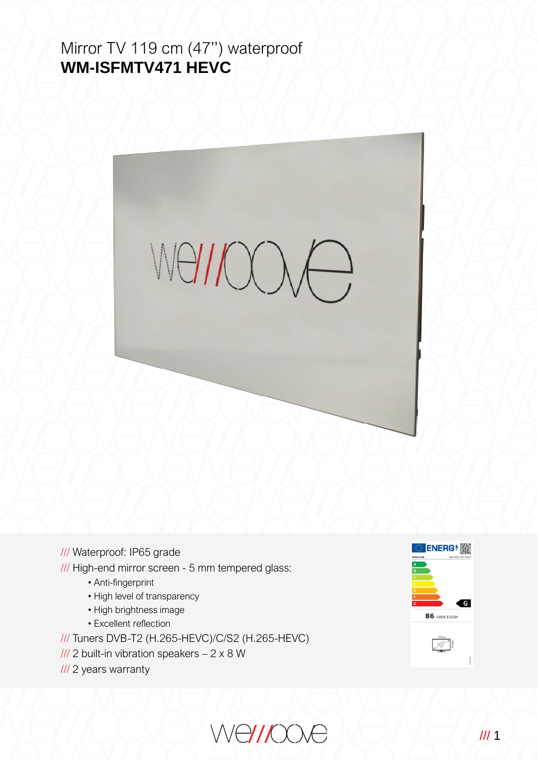Mirror TV 119 cm (47'') waterproof **WM-ISFMTV471 HEVC**



/// Waterproof: IP65 grade

- /// High-end mirror screen 5 mm tempered glass:
	- Anti-fingerprint
	- High level of transparency
	- High brightness image
	- Excellent reflection
- /// Tuners DVB-T2 (H.265-HEVC)/C/S2 (H.265-HEVC)
- $1/1/2$  built-in vibration speakers  $-2 \times 8$  W
- /// 2 years warranty



Welloole